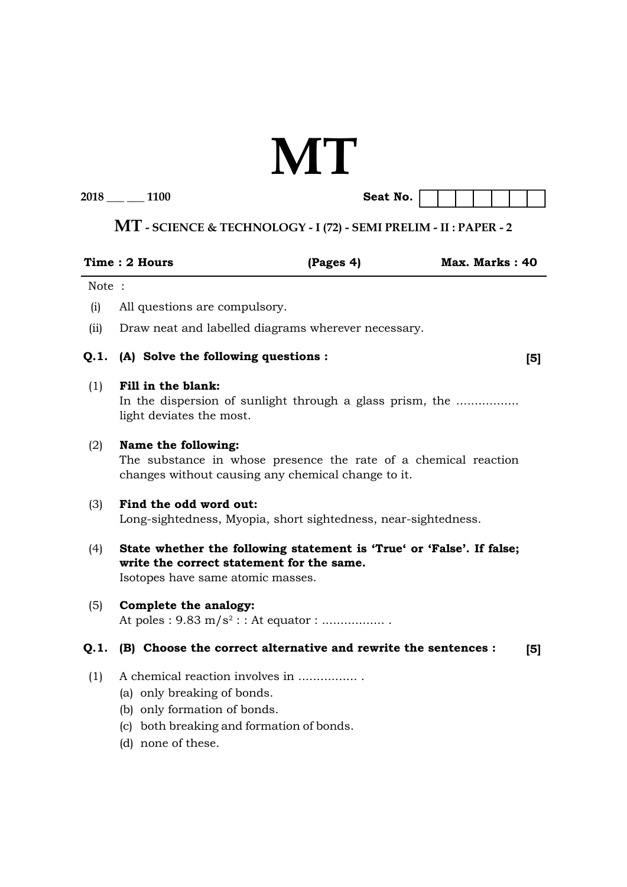# **MT**

| 2018 | 1100 | Seat No. |  |  |
|------|------|----------|--|--|
|------|------|----------|--|--|

| Seat No. |  |  |  |  |
|----------|--|--|--|--|

## **MT - SCIENCE & TECHNOLOGY - I (72) - SEMI PRELIM - II : PAPER - 2**

|       | Time: 2 Hours                                                                     | (Pages 4)                                                                                                             | Max. Marks: 40 |                |
|-------|-----------------------------------------------------------------------------------|-----------------------------------------------------------------------------------------------------------------------|----------------|----------------|
| Note: |                                                                                   |                                                                                                                       |                |                |
| (i)   | All questions are compulsory.                                                     |                                                                                                                       |                |                |
| (ii)  |                                                                                   | Draw neat and labelled diagrams wherever necessary.                                                                   |                |                |
| Q.1.  |                                                                                   | (A) Solve the following questions :                                                                                   |                | [5]            |
| (1)   | Fill in the blank:<br>light deviates the most.                                    | In the dispersion of sunlight through a glass prism, the                                                              |                |                |
| (2)   | Name the following:                                                               | The substance in whose presence the rate of a chemical reaction<br>changes without causing any chemical change to it. |                |                |
| (3)   | Find the odd word out:                                                            | Long-sightedness, Myopia, short sightedness, near-sightedness.                                                        |                |                |
| (4)   | Isotopes have same atomic masses.                                                 | State whether the following statement is 'True' or 'False'. If false;<br>write the correct statement for the same.    |                |                |
| (5)   | Complete the analogy:                                                             | At poles : $9.83 \text{ m/s}^2$ : : At equator :                                                                      |                |                |
| Q.1.  |                                                                                   | (B) Choose the correct alternative and rewrite the sentences :                                                        |                | $\mathsf{[5]}$ |
| (1)   | (a) only breaking of bonds.<br>(b) only formation of bonds.<br>(d) none of these. | A chemical reaction involves in<br>(c) both breaking and formation of bonds.                                          |                |                |
|       |                                                                                   |                                                                                                                       |                |                |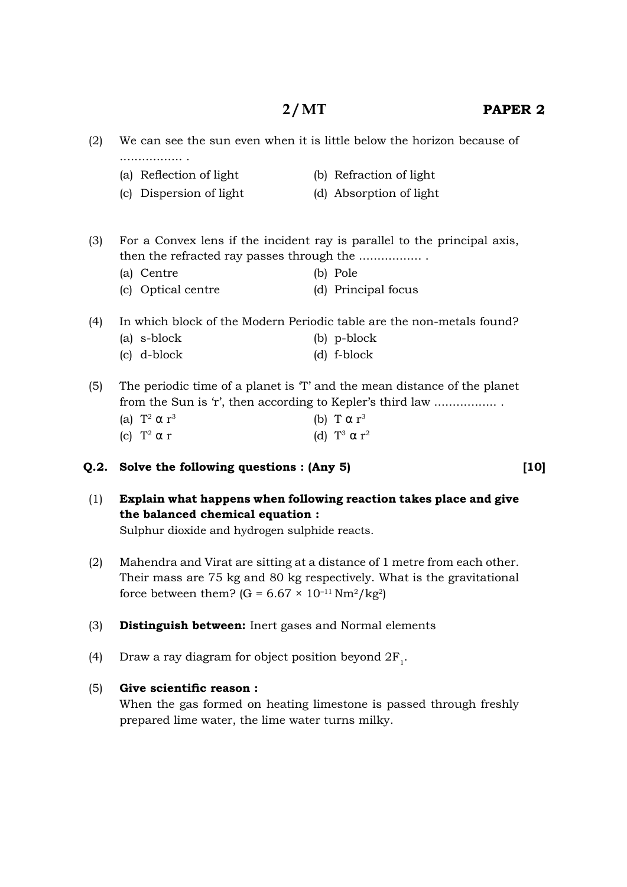### **2 / MT PAPER 2**

| (2) | We can see the sun even when it is little below the horizon because of<br>. <b>.</b> . |                                                                                                                                     |  |  |
|-----|----------------------------------------------------------------------------------------|-------------------------------------------------------------------------------------------------------------------------------------|--|--|
|     | (a) Reflection of light                                                                | (b) Refraction of light                                                                                                             |  |  |
|     | (c) Dispersion of light                                                                | (d) Absorption of light                                                                                                             |  |  |
| (3) |                                                                                        | For a Convex lens if the incident ray is parallel to the principal axis,                                                            |  |  |
|     |                                                                                        |                                                                                                                                     |  |  |
|     | (a) Centre                                                                             | (b) Pole                                                                                                                            |  |  |
|     | (c) Optical centre                                                                     | (d) Principal focus                                                                                                                 |  |  |
| (4) |                                                                                        | In which block of the Modern Periodic table are the non-metals found?                                                               |  |  |
|     | (a) s-block                                                                            | (b) p-block                                                                                                                         |  |  |
|     | (c) d-block                                                                            | $(d)$ f-block                                                                                                                       |  |  |
| (5) |                                                                                        | The periodic time of a planet is T and the mean distance of the planet<br>from the Sun is 'r', then according to Kepler's third law |  |  |

(a)  $T^2 \alpha r^3$ (b) T  $\alpha$  r<sup>3</sup> (c)  $T^2 \alpha r$  $^{2}$   $\alpha$  r (d)  $T^{3}$   $\alpha$  r<sup>2</sup>

#### **Q.2. Solve the following questions : (Any 5)**

- (1) **Explain what happens when following reaction takes place and give the balanced chemical equation :** Sulphur dioxide and hydrogen sulphide reacts.
- (2) Mahendra and Virat are sitting at a distance of 1 metre from each other. Their mass are 75 kg and 80 kg respectively. What is the gravitational force between them? (G =  $6.67 \times 10^{-11} \text{ Nm}^2/\text{kg}^2$ )
- (3) **Distinguish between:** Inert gases and Normal elements
- (4) Draw a ray diagram for object position beyond  $2F_1$ .

#### (5) Give scientific reason :

 When the gas formed on heating limestone is passed through freshly prepared lime water, the lime water turns milky.

**[10]**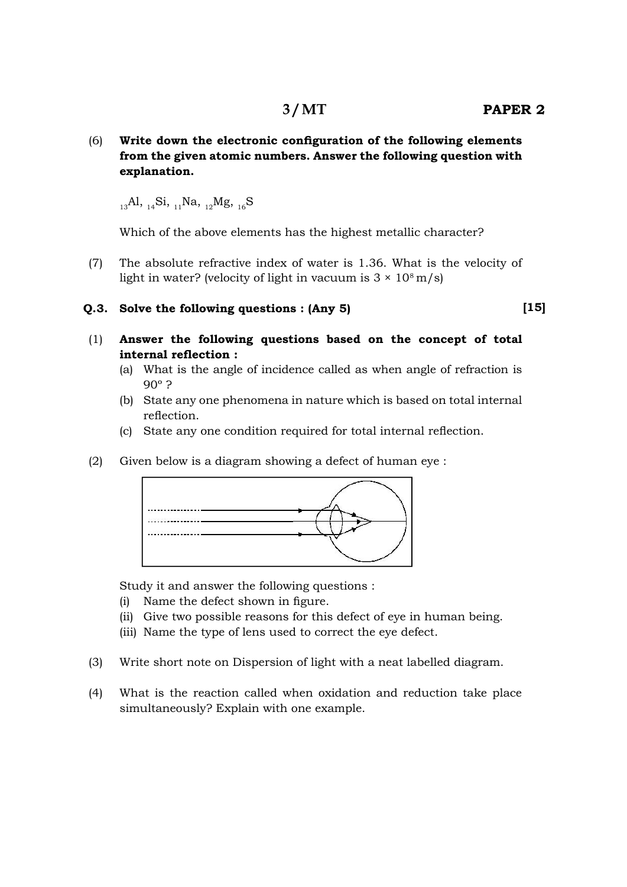(6) **Write down the electronic configuration of the following elements from the given atomic numbers. Answer the following question with explanation.**

 $1.3$ Al,  $1.4$ Si,  $1.1$ Na,  $1.2$ Mg,  $1.6$ S

Which of the above elements has the highest metallic character?

 (7) The absolute refractive index of water is 1.36. What is the velocity of light in water? (velocity of light in vacuum is  $3 \times 10^8$  m/s)

#### **Q.3. Solve the following questions : (Any 5)**

**[15]**

- (1) **Answer the following questions based on the concept of total** internal reflection :
	- (a) What is the angle of incidence called as when angle of refraction is 90º ?
	- (b) State any one phenomena in nature which is based on total internal reflection.
	- (c) State any one condition required for total internal reflection.
- (2) Given below is a diagram showing a defect of human eye :



Study it and answer the following questions :

- $(i)$  Name the defect shown in figure.
- (ii) Give two possible reasons for this defect of eye in human being.
- (iii) Name the type of lens used to correct the eye defect.
- (3) Write short note on Dispersion of light with a neat labelled diagram.
- (4) What is the reaction called when oxidation and reduction take place simultaneously? Explain with one example.